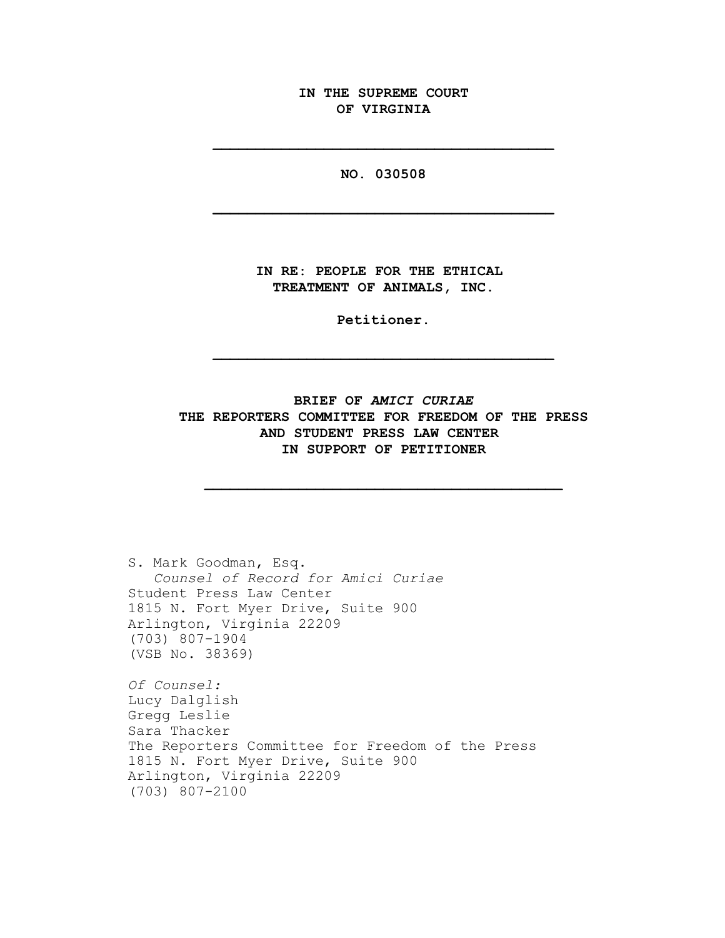**IN THE SUPREME COURT OF VIRGINIA**

**NO. 030508**

**\_\_\_\_\_\_\_\_\_\_\_\_\_\_\_\_\_\_\_\_\_\_\_\_\_\_\_\_\_\_\_\_\_\_\_\_\_\_\_\_**

**\_\_\_\_\_\_\_\_\_\_\_\_\_\_\_\_\_\_\_\_\_\_\_\_\_\_\_\_\_\_\_\_\_\_\_\_\_\_\_\_**

**IN RE: PEOPLE FOR THE ETHICAL TREATMENT OF ANIMALS, INC.**

**Petitioner.**

**\_\_\_\_\_\_\_\_\_\_\_\_\_\_\_\_\_\_\_\_\_\_\_\_\_\_\_\_\_\_\_\_\_\_\_\_\_\_\_\_**

# **BRIEF OF** *AMICI CURIAE* **THE REPORTERS COMMITTEE FOR FREEDOM OF THE PRESS AND STUDENT PRESS LAW CENTER IN SUPPORT OF PETITIONER**

**\_\_\_\_\_\_\_\_\_\_\_\_\_\_\_\_\_\_\_\_\_\_\_\_\_\_\_\_\_\_\_\_\_\_\_\_\_\_\_\_\_\_**

S. Mark Goodman, Esq. *Counsel of Record for Amici Curiae* Student Press Law Center 1815 N. Fort Myer Drive, Suite 900 Arlington, Virginia 22209 (703) 807-1904 (VSB No. 38369)

*Of Counsel:* Lucy Dalglish Gregg Leslie Sara Thacker The Reporters Committee for Freedom of the Press 1815 N. Fort Myer Drive, Suite 900 Arlington, Virginia 22209 (703) 807-2100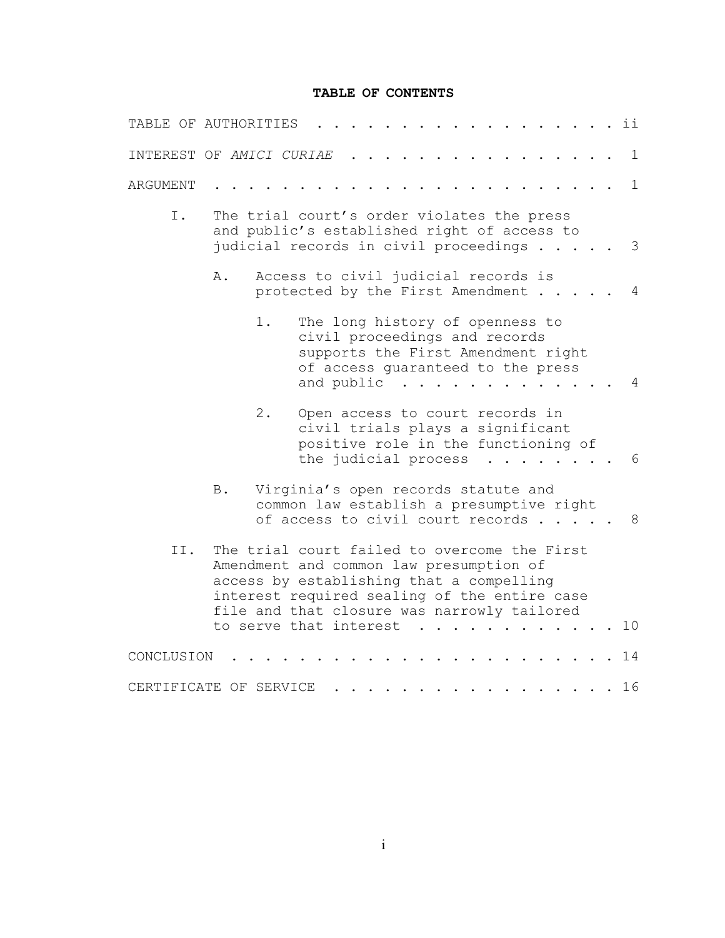### **TABLE OF CONTENTS**

| TABLE OF AUTHORITIES     |            |                                                                                                                                                                                                                                    |                                                                                                                     |                                                                                                                                                           |  |  |                           |  |  | ii             |
|--------------------------|------------|------------------------------------------------------------------------------------------------------------------------------------------------------------------------------------------------------------------------------------|---------------------------------------------------------------------------------------------------------------------|-----------------------------------------------------------------------------------------------------------------------------------------------------------|--|--|---------------------------|--|--|----------------|
| INTEREST OF AMICI CURIAE |            |                                                                                                                                                                                                                                    |                                                                                                                     |                                                                                                                                                           |  |  |                           |  |  | $\mathbf{1}$   |
| ARGUMENT                 |            |                                                                                                                                                                                                                                    |                                                                                                                     |                                                                                                                                                           |  |  |                           |  |  | $\mathbf{1}$   |
| I.                       |            | The trial court's order violates the press<br>and public's established right of access to<br>judicial records in civil proceedings                                                                                                 |                                                                                                                     |                                                                                                                                                           |  |  |                           |  |  | 3              |
|                          | Α.         |                                                                                                                                                                                                                                    | Access to civil judicial records is<br>protected by the First Amendment                                             |                                                                                                                                                           |  |  |                           |  |  | 4              |
|                          |            | 1.                                                                                                                                                                                                                                 |                                                                                                                     | The long history of openness to<br>civil proceedings and records<br>supports the First Amendment right<br>of access quaranteed to the press<br>and public |  |  |                           |  |  | 4              |
|                          |            | $2$ .                                                                                                                                                                                                                              |                                                                                                                     | Open access to court records in<br>civil trials plays a significant<br>positive role in the functioning of<br>the judicial process                        |  |  | $\mathbf{1}$ $\mathbf{1}$ |  |  | - 6            |
|                          | <b>B</b> . |                                                                                                                                                                                                                                    | Virginia's open records statute and<br>common law establish a presumptive right<br>of access to civil court records |                                                                                                                                                           |  |  |                           |  |  | 8 <sup>8</sup> |
| II.                      |            | The trial court failed to overcome the First<br>Amendment and common law presumption of<br>access by establishing that a compelling<br>interest required sealing of the entire case<br>file and that closure was narrowly tailored |                                                                                                                     |                                                                                                                                                           |  |  |                           |  |  |                |
|                          |            | to serve that interest                                                                                                                                                                                                             |                                                                                                                     |                                                                                                                                                           |  |  |                           |  |  | 10             |
| CONCLUSION               |            |                                                                                                                                                                                                                                    |                                                                                                                     |                                                                                                                                                           |  |  |                           |  |  | 14             |
| CERTIFICATE OF SERVICE   |            |                                                                                                                                                                                                                                    |                                                                                                                     |                                                                                                                                                           |  |  |                           |  |  | 16             |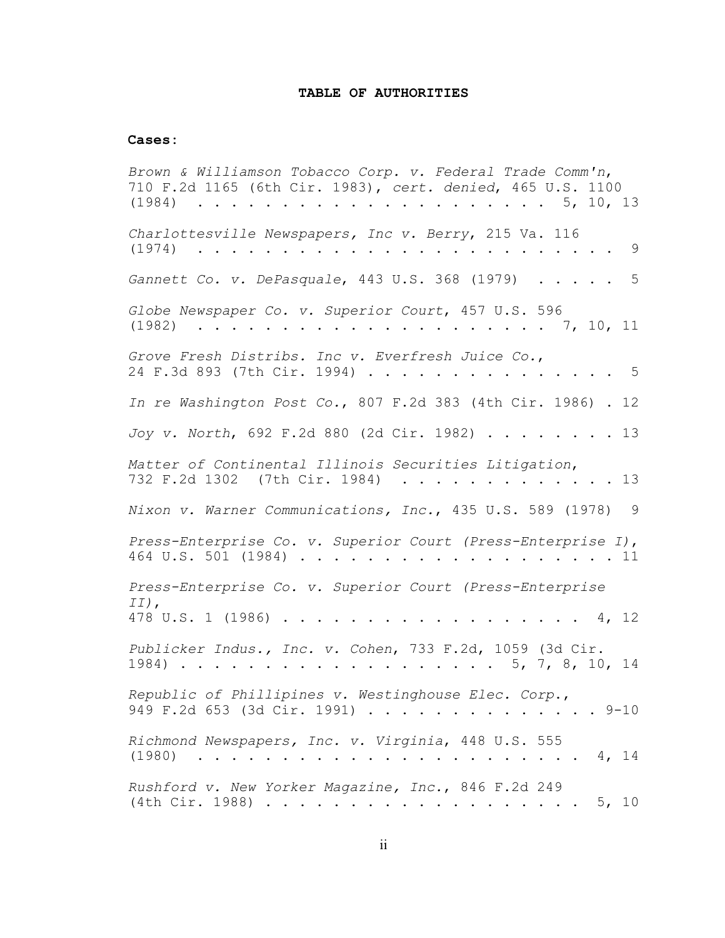#### **TABLE OF AUTHORITIES**

#### **Cases:**

*Brown & Williamson Tobacco Corp. v. Federal Trade Comm'n*, 710 F.2d 1165 (6th Cir. 1983), *cert. denied*, 465 U.S. 1100 (1984) ..................... 5, 10, 13 *Charlottesville Newspapers, Inc v. Berry*, 215 Va. 116 (1974) ......................... 9 *Gannett Co. v. DePasquale*, 443 U.S. 368 (1979) ..... 5 *Globe Newspaper Co. v. Superior Court*, 457 U.S. 596 (1982) ..................... 7, 10, 11 *Grove Fresh Distribs. Inc v. Everfresh Juice Co.*, 24 F.3d 893 (7th Cir. 1994) . . . . . . . . . . . . . . 5 *In re Washington Post Co.*, 807 F.2d 383 (4th Cir. 1986) . 12 *Joy v. North*, 692 F.2d 880 (2d Cir. 1982) ........ 13 *Matter of Continental Illinois Securities Litigation*, 732 F.2d 1302 (7th Cir. 1984) . . . . . . . . . . . . 13 *Nixon v. Warner Communications, Inc.*, 435 U.S. 589 (1978) 9 *Press-Enterprise Co. v. Superior Court (Press-Enterprise I)*, 464 U.S. 501 (1984) ................... 11 *Press-Enterprise Co. v. Superior Court (Press-Enterprise II)*, 478 U.S. 1 (1986) .................. 4, 12 *Publicker Indus., Inc. v. Cohen*, 733 F.2d, 1059 (3d Cir. 1984) ................... 5, 7, 8, 10, 14 *Republic of Phillipines v. Westinghouse Elec. Corp*., 949 F.2d 653 (3d Cir. 1991) . . . . . . . . . . . . . 9-10 *Richmond Newspapers, Inc. v. Virginia*, 448 U.S. 555 (1980) ....................... 4, 14 *Rushford v. New Yorker Magazine, Inc.*, 846 F.2d 249 (4th Cir. 1988) ................... 5, 10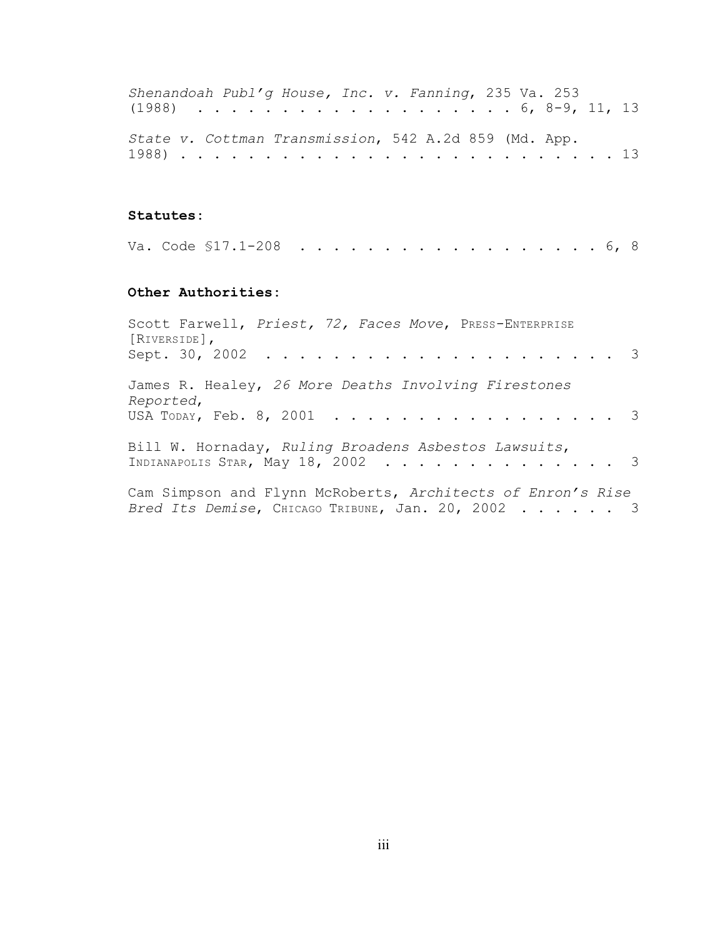| Shenandoah Publ'g House, Inc. v. Fanning, 235 Va. 253 |  |  |  |  |  |  |  |  |  |  |
|-------------------------------------------------------|--|--|--|--|--|--|--|--|--|--|
| $(1988)$ 6, 8-9, 11, 13                               |  |  |  |  |  |  |  |  |  |  |
|                                                       |  |  |  |  |  |  |  |  |  |  |
| State v. Cottman Transmission, 542 A.2d 859 (Md. App. |  |  |  |  |  |  |  |  |  |  |
|                                                       |  |  |  |  |  |  |  |  |  |  |

### **Statutes:**

|  |  | Va. Code \$17.1-208 6, 8 |  |  |  |  |  |  |  |  |  |  |  |  |  |  |  |  |  |  |  |  |
|--|--|--------------------------|--|--|--|--|--|--|--|--|--|--|--|--|--|--|--|--|--|--|--|--|
|--|--|--------------------------|--|--|--|--|--|--|--|--|--|--|--|--|--|--|--|--|--|--|--|--|

## **Other Authorities:**

| Scott Farwell, Priest, 72, Faces Move, PRESS-ENTERPRISE<br>$[\texttt{RIVERSIDE}]$ ,                              |
|------------------------------------------------------------------------------------------------------------------|
| James R. Healey, 26 More Deaths Involving Firestones<br>Reported,                                                |
| USA TODAY, Feb. 8, 2001 3                                                                                        |
| Bill W. Hornaday, Ruling Broadens Asbestos Lawsuits,<br>INDIANAPOLIS STAR, May 18, 2002 3                        |
| Cam Simpson and Flynn McRoberts, Architects of Enron's Rise<br>Bred Its Demise, CHICAGO TRIBUNE, Jan. 20, 2002 3 |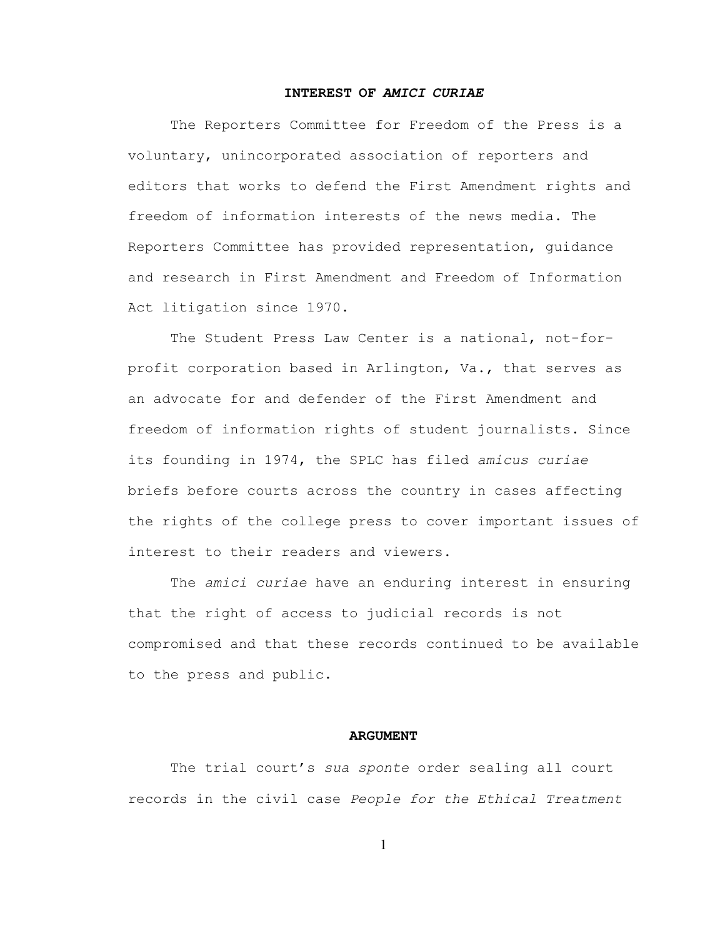#### **INTEREST OF** *AMICI CURIAE*

The Reporters Committee for Freedom of the Press is a voluntary, unincorporated association of reporters and editors that works to defend the First Amendment rights and freedom of information interests of the news media. The Reporters Committee has provided representation, guidance and research in First Amendment and Freedom of Information Act litigation since 1970.

The Student Press Law Center is a national, not-forprofit corporation based in Arlington, Va., that serves as an advocate for and defender of the First Amendment and freedom of information rights of student journalists. Since its founding in 1974, the SPLC has filed *amicus curiae* briefs before courts across the country in cases affecting the rights of the college press to cover important issues of interest to their readers and viewers.

The *amici curiae* have an enduring interest in ensuring that the right of access to judicial records is not compromised and that these records continued to be available to the press and public.

#### **ARGUMENT**

The trial court's *sua sponte* order sealing all court records in the civil case *People for the Ethical Treatment*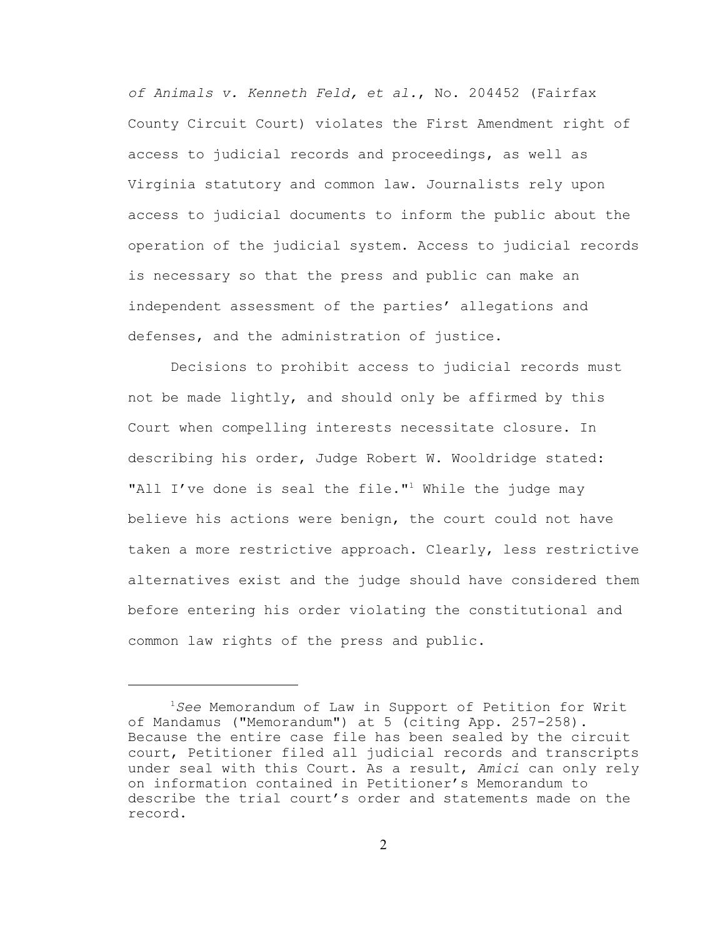*of Animals v. Kenneth Feld, et al.*, No. 204452 (Fairfax County Circuit Court) violates the First Amendment right of access to judicial records and proceedings, as well as Virginia statutory and common law. Journalists rely upon access to judicial documents to inform the public about the operation of the judicial system. Access to judicial records is necessary so that the press and public can make an independent assessment of the parties' allegations and defenses, and the administration of justice.

Decisions to prohibit access to judicial records must not be made lightly, and should only be affirmed by this Court when compelling interests necessitate closure. In describing his order, Judge Robert W. Wooldridge stated: "All I've done is seal the file."<sup>1</sup> While the judge may believe his actions were benign, the court could not have taken a more restrictive approach. Clearly, less restrictive alternatives exist and the judge should have considered them before entering his order violating the constitutional and common law rights of the press and public.

<sup>1</sup>*See* Memorandum of Law in Support of Petition for Writ of Mandamus ("Memorandum") at 5 (citing App. 257-258). Because the entire case file has been sealed by the circuit court, Petitioner filed all judicial records and transcripts under seal with this Court. As a result, *Amici* can only rely on information contained in Petitioner's Memorandum to describe the trial court's order and statements made on the record.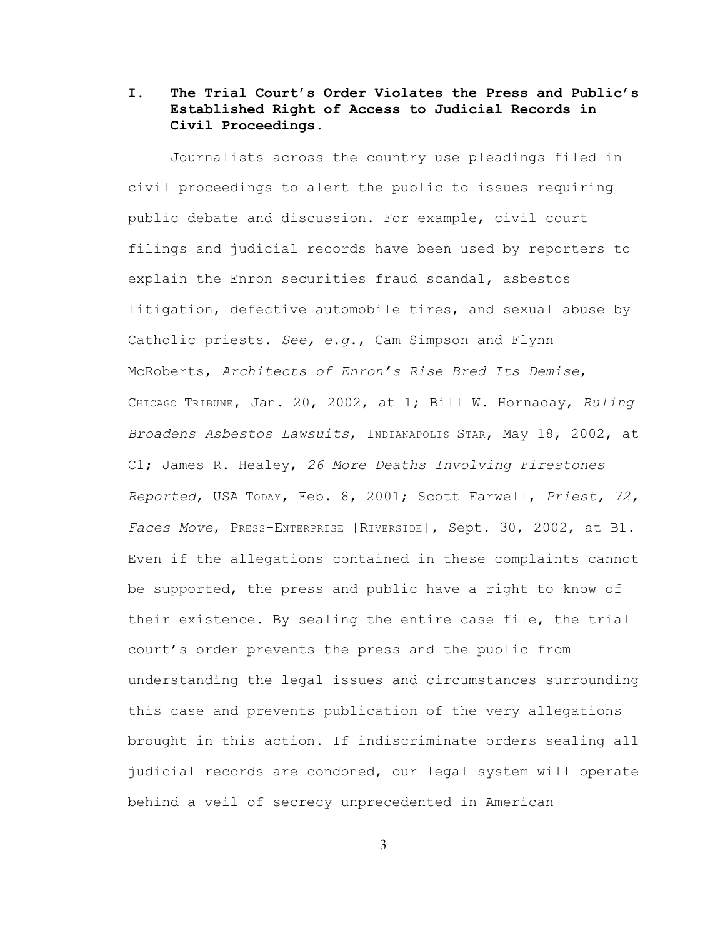# **I. The Trial Court's Order Violates the Press and Public's Established Right of Access to Judicial Records in Civil Proceedings.**

Journalists across the country use pleadings filed in civil proceedings to alert the public to issues requiring public debate and discussion. For example, civil court filings and judicial records have been used by reporters to explain the Enron securities fraud scandal, asbestos litigation, defective automobile tires, and sexual abuse by Catholic priests. *See, e.g.*, Cam Simpson and Flynn McRoberts, *Architects of Enron's Rise Bred Its Demise*, CHICAGO TRIBUNE, Jan. 20, 2002, at 1; Bill W. Hornaday, *Ruling Broadens Asbestos Lawsuits*, INDIANAPOLIS STAR, May 18, 2002, at C1; James R. Healey, *26 More Deaths Involving Firestones Reported*, USA TODAY, Feb. 8, 2001; Scott Farwell, *Priest, 72, Faces Move*, PRESS-ENTERPRISE [RIVERSIDE], Sept. 30, 2002, at B1. Even if the allegations contained in these complaints cannot be supported, the press and public have a right to know of their existence. By sealing the entire case file, the trial court's order prevents the press and the public from understanding the legal issues and circumstances surrounding this case and prevents publication of the very allegations brought in this action. If indiscriminate orders sealing all judicial records are condoned, our legal system will operate behind a veil of secrecy unprecedented in American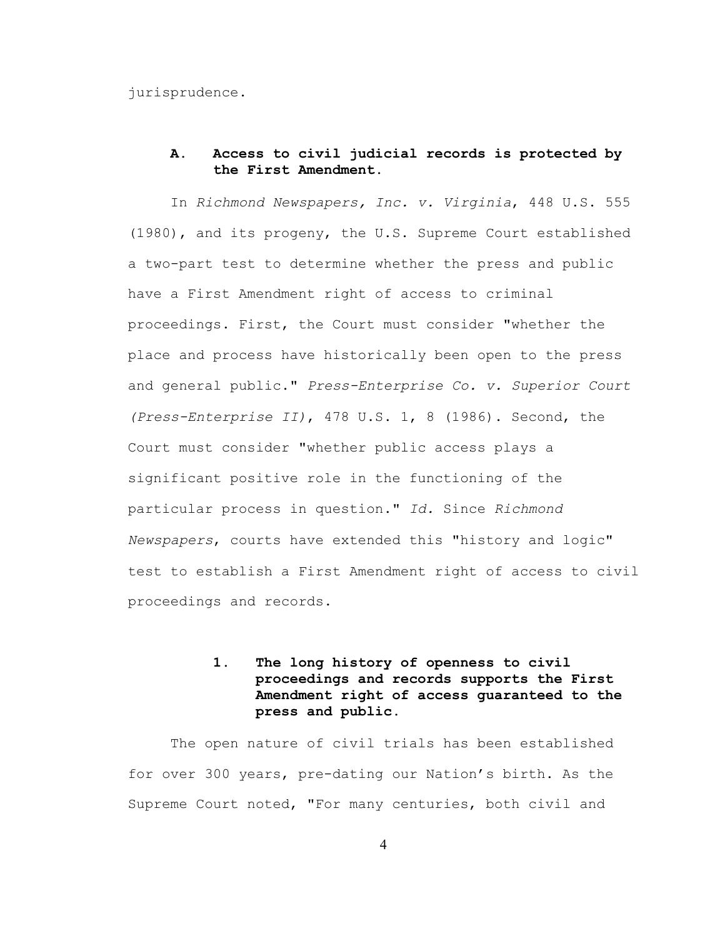jurisprudence.

### **A. Access to civil judicial records is protected by the First Amendment.**

In *Richmond Newspapers, Inc. v. Virginia*, 448 U.S. 555 (1980), and its progeny, the U.S. Supreme Court established a two-part test to determine whether the press and public have a First Amendment right of access to criminal proceedings. First, the Court must consider "whether the place and process have historically been open to the press and general public." *Press-Enterprise Co. v. Superior Court (Press-Enterprise II)*, 478 U.S. 1, 8 (1986). Second, the Court must consider "whether public access plays a significant positive role in the functioning of the particular process in question." *Id.* Since *Richmond Newspapers*, courts have extended this "history and logic" test to establish a First Amendment right of access to civil proceedings and records.

# **1. The long history of openness to civil proceedings and records supports the First Amendment right of access guaranteed to the press and public.**

The open nature of civil trials has been established for over 300 years, pre-dating our Nation's birth. As the Supreme Court noted, "For many centuries, both civil and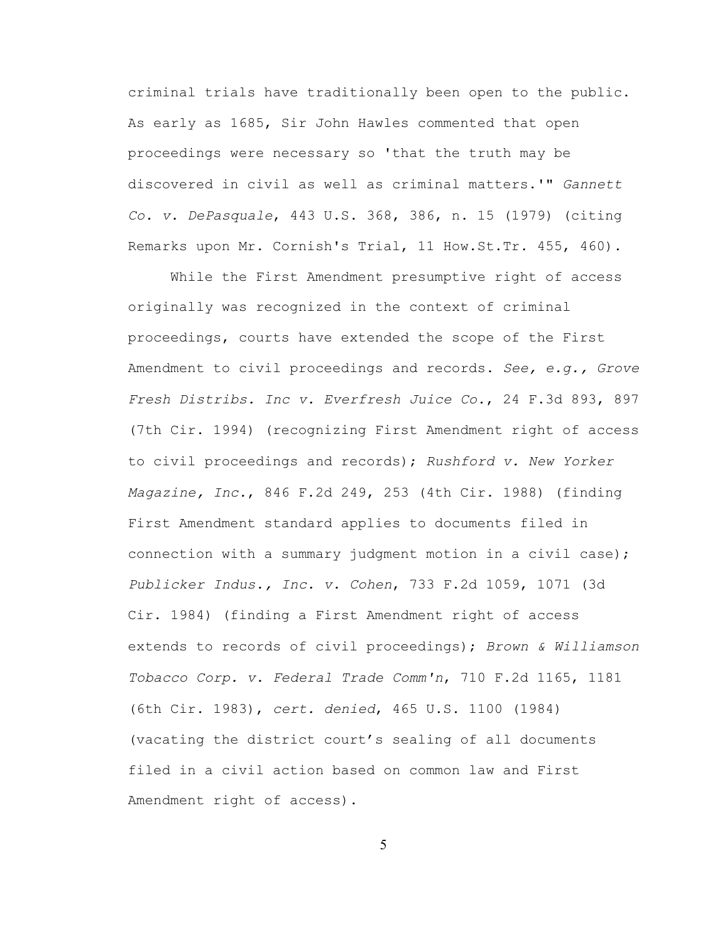criminal trials have traditionally been open to the public. As early as 1685, Sir John Hawles commented that open proceedings were necessary so 'that the truth may be discovered in civil as well as criminal matters.'" *Gannett Co. v. DePasquale*, 443 U.S. 368, 386, n. 15 (1979) (citing Remarks upon Mr. Cornish's Trial, 11 How.St.Tr. 455, 460).

While the First Amendment presumptive right of access originally was recognized in the context of criminal proceedings, courts have extended the scope of the First Amendment to civil proceedings and records. *See, e.g., Grove Fresh Distribs. Inc v. Everfresh Juice Co.*, 24 F.3d 893, 897 (7th Cir. 1994) (recognizing First Amendment right of access to civil proceedings and records); *Rushford v. New Yorker Magazine, Inc.*, 846 F.2d 249, 253 (4th Cir. 1988) (finding First Amendment standard applies to documents filed in connection with a summary judgment motion in a civil case); *Publicker Indus., Inc. v. Cohen*, 733 F.2d 1059, 1071 (3d Cir. 1984) (finding a First Amendment right of access extends to records of civil proceedings); *Brown & Williamson Tobacco Corp. v. Federal Trade Comm'n*, 710 F.2d 1165, 1181 (6th Cir. 1983), *cert. denied*, 465 U.S. 1100 (1984) (vacating the district court's sealing of all documents filed in a civil action based on common law and First Amendment right of access).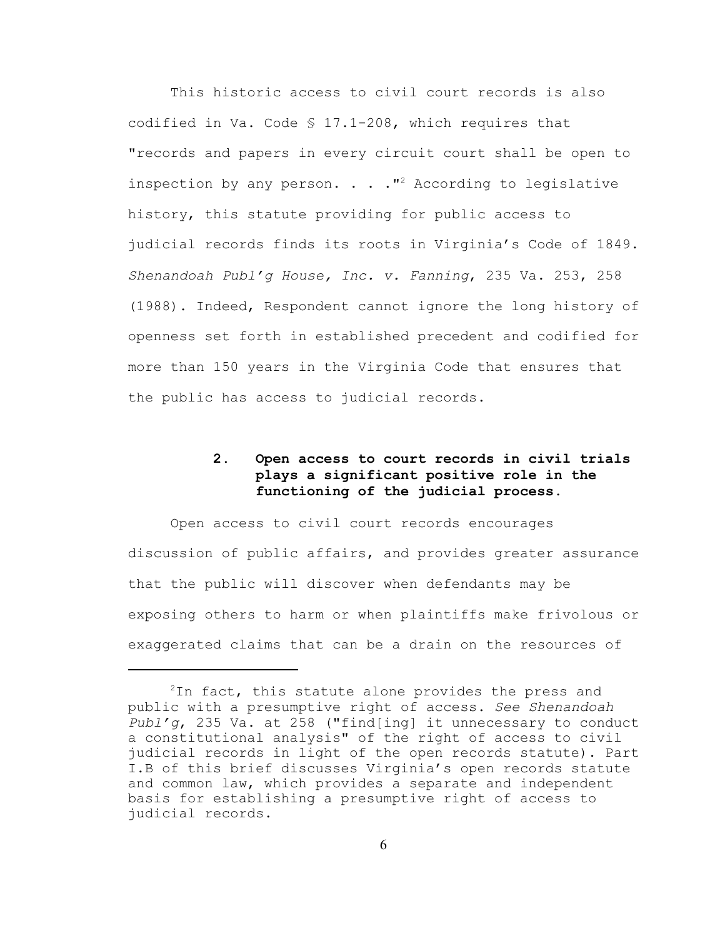This historic access to civil court records is also codified in Va. Code § 17.1-208, which requires that "records and papers in every circuit court shall be open to inspection by any person. . .  $\cdot$  "<sup>2</sup> According to legislative history, this statute providing for public access to judicial records finds its roots in Virginia's Code of 1849. *Shenandoah Publ'g House, Inc. v. Fanning*, 235 Va. 253, 258 (1988). Indeed, Respondent cannot ignore the long history of openness set forth in established precedent and codified for more than 150 years in the Virginia Code that ensures that the public has access to judicial records.

# **2. Open access to court records in civil trials plays a significant positive role in the functioning of the judicial process.**

Open access to civil court records encourages discussion of public affairs, and provides greater assurance that the public will discover when defendants may be exposing others to harm or when plaintiffs make frivolous or exaggerated claims that can be a drain on the resources of

<sup>&</sup>lt;sup>2</sup>In fact, this statute alone provides the press and public with a presumptive right of access. *See Shenandoah Publ'g*, 235 Va. at 258 ("find[ing] it unnecessary to conduct a constitutional analysis" of the right of access to civil judicial records in light of the open records statute). Part I.B of this brief discusses Virginia's open records statute and common law, which provides a separate and independent basis for establishing a presumptive right of access to judicial records.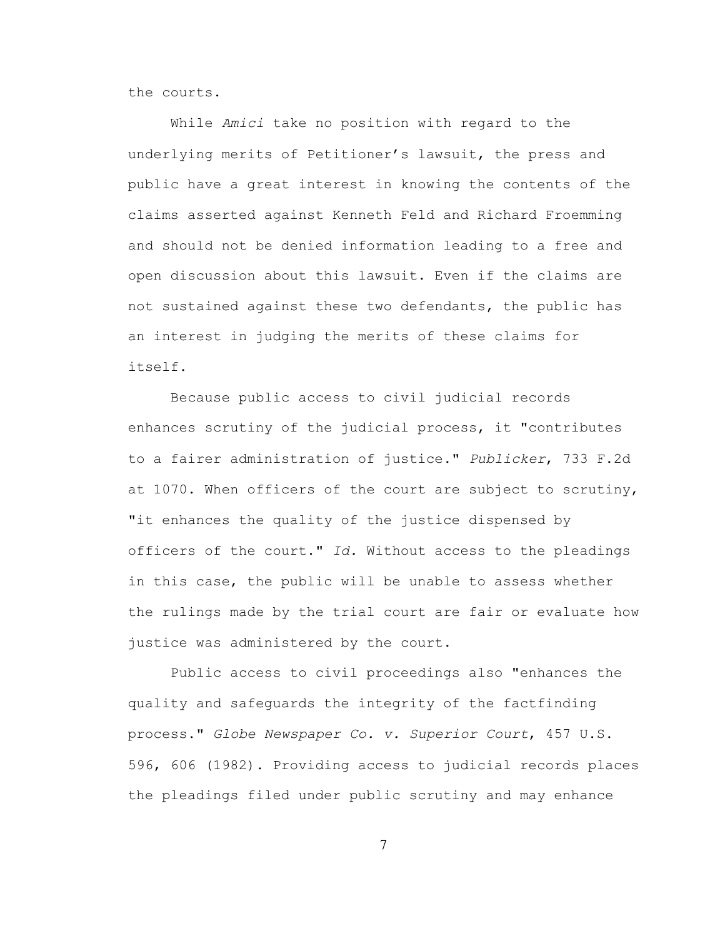the courts.

While *Amici* take no position with regard to the underlying merits of Petitioner's lawsuit, the press and public have a great interest in knowing the contents of the claims asserted against Kenneth Feld and Richard Froemming and should not be denied information leading to a free and open discussion about this lawsuit. Even if the claims are not sustained against these two defendants, the public has an interest in judging the merits of these claims for itself.

Because public access to civil judicial records enhances scrutiny of the judicial process, it "contributes to a fairer administration of justice." *Publicker*, 733 F.2d at 1070. When officers of the court are subject to scrutiny, "it enhances the quality of the justice dispensed by officers of the court." *Id.* Without access to the pleadings in this case, the public will be unable to assess whether the rulings made by the trial court are fair or evaluate how justice was administered by the court.

Public access to civil proceedings also "enhances the quality and safeguards the integrity of the factfinding process." *Globe Newspaper Co. v. Superior Court*, 457 U.S. 596, 606 (1982). Providing access to judicial records places the pleadings filed under public scrutiny and may enhance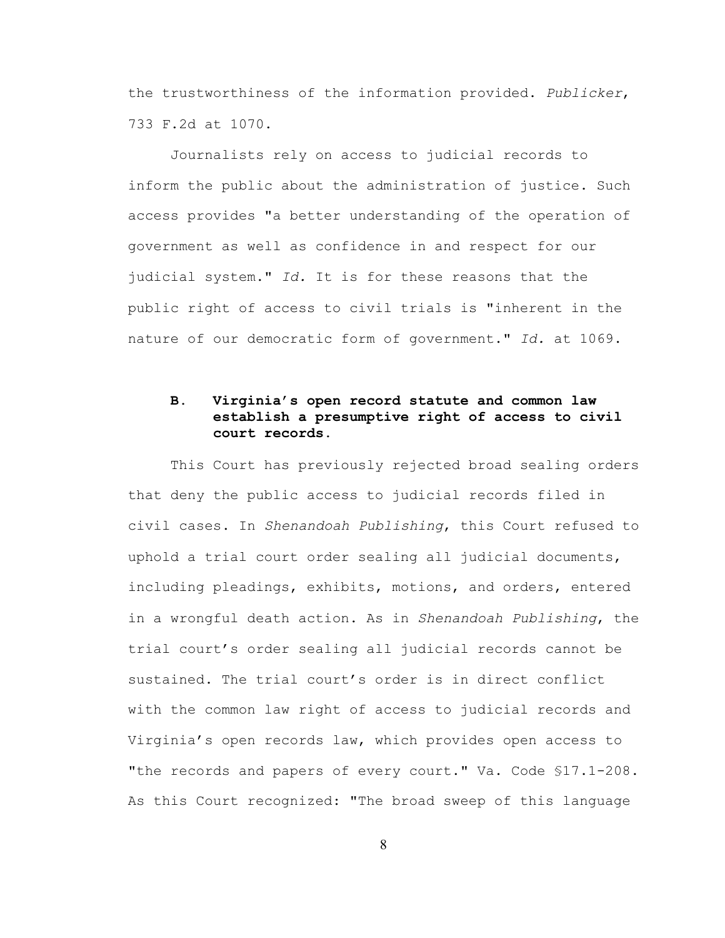the trustworthiness of the information provided. *Publicker*, 733 F.2d at 1070.

Journalists rely on access to judicial records to inform the public about the administration of justice. Such access provides "a better understanding of the operation of government as well as confidence in and respect for our judicial system." *Id.* It is for these reasons that the public right of access to civil trials is "inherent in the nature of our democratic form of government." *Id.* at 1069.

# **B. Virginia's open record statute and common law establish a presumptive right of access to civil court records.**

This Court has previously rejected broad sealing orders that deny the public access to judicial records filed in civil cases. In *Shenandoah Publishing*, this Court refused to uphold a trial court order sealing all judicial documents, including pleadings, exhibits, motions, and orders, entered in a wrongful death action. As in *Shenandoah Publishing*, the trial court's order sealing all judicial records cannot be sustained. The trial court's order is in direct conflict with the common law right of access to judicial records and Virginia's open records law, which provides open access to "the records and papers of every court." Va. Code §17.1-208. As this Court recognized: "The broad sweep of this language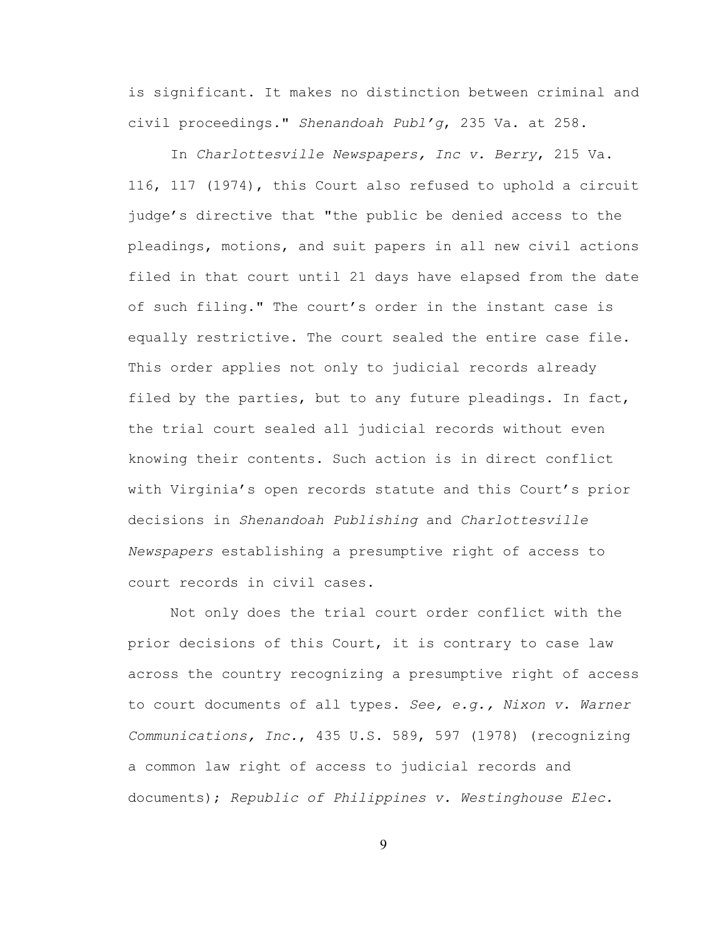is significant. It makes no distinction between criminal and civil proceedings." *Shenandoah Publ'g*, 235 Va. at 258.

In *Charlottesville Newspapers, Inc v. Berry*, 215 Va. 116, 117 (1974), this Court also refused to uphold a circuit judge's directive that "the public be denied access to the pleadings, motions, and suit papers in all new civil actions filed in that court until 21 days have elapsed from the date of such filing." The court's order in the instant case is equally restrictive. The court sealed the entire case file. This order applies not only to judicial records already filed by the parties, but to any future pleadings. In fact, the trial court sealed all judicial records without even knowing their contents. Such action is in direct conflict with Virginia's open records statute and this Court's prior decisions in *Shenandoah Publishing* and *Charlottesville Newspapers* establishing a presumptive right of access to court records in civil cases.

Not only does the trial court order conflict with the prior decisions of this Court, it is contrary to case law across the country recognizing a presumptive right of access to court documents of all types. *See, e.g., Nixon v. Warner Communications, Inc.*, 435 U.S. 589, 597 (1978) (recognizing a common law right of access to judicial records and documents); *Republic of Philippines v. Westinghouse Elec.*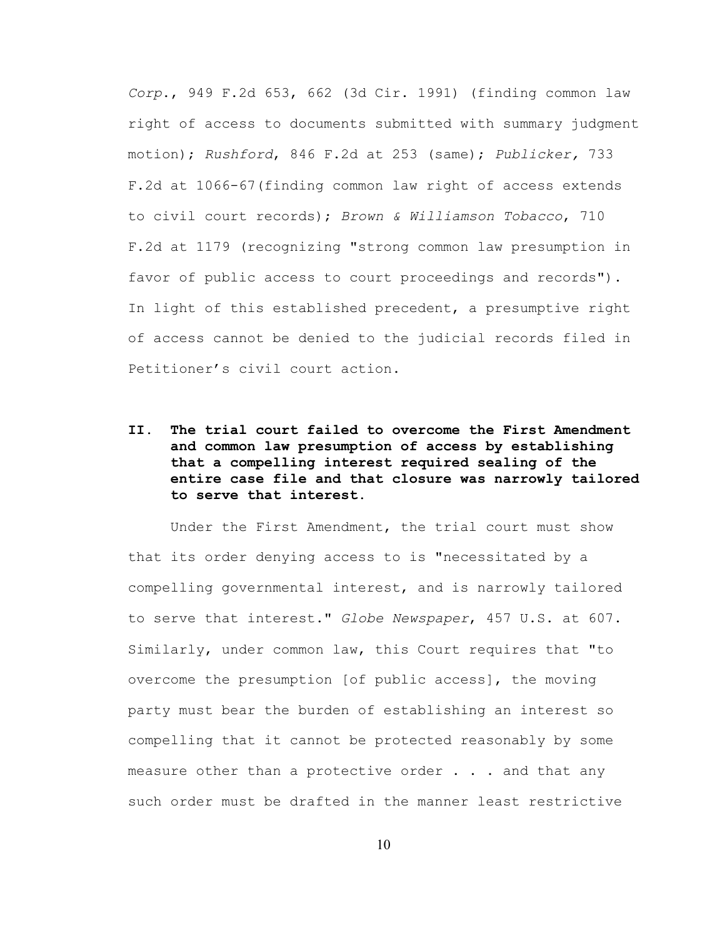*Corp*., 949 F.2d 653, 662 (3d Cir. 1991) (finding common law right of access to documents submitted with summary judgment motion); *Rushford*, 846 F.2d at 253 (same); *Publicker,* 733 F.2d at 1066-67(finding common law right of access extends to civil court records); *Brown & Williamson Tobacco*, 710 F.2d at 1179 (recognizing "strong common law presumption in favor of public access to court proceedings and records"). In light of this established precedent, a presumptive right of access cannot be denied to the judicial records filed in Petitioner's civil court action.

**II. The trial court failed to overcome the First Amendment and common law presumption of access by establishing that a compelling interest required sealing of the entire case file and that closure was narrowly tailored to serve that interest.**

Under the First Amendment, the trial court must show that its order denying access to is "necessitated by a compelling governmental interest, and is narrowly tailored to serve that interest." *Globe Newspaper*, 457 U.S. at 607. Similarly, under common law, this Court requires that "to overcome the presumption [of public access], the moving party must bear the burden of establishing an interest so compelling that it cannot be protected reasonably by some measure other than a protective order . . . and that any such order must be drafted in the manner least restrictive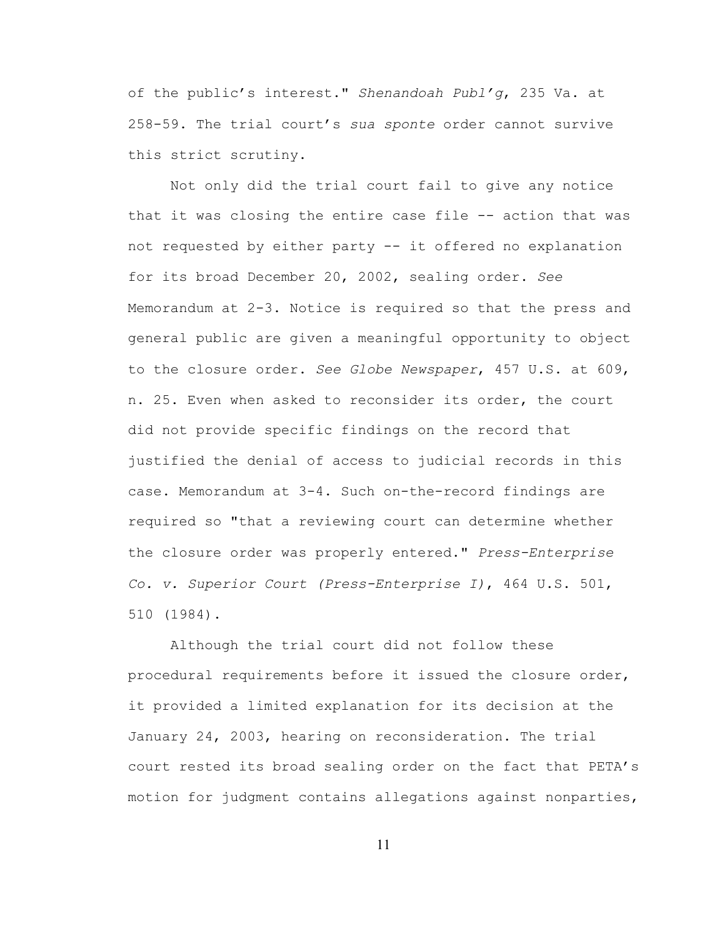of the public's interest." *Shenandoah Publ'g*, 235 Va. at 258-59. The trial court's *sua sponte* order cannot survive this strict scrutiny.

Not only did the trial court fail to give any notice that it was closing the entire case file -- action that was not requested by either party -- it offered no explanation for its broad December 20, 2002, sealing order. *See* Memorandum at 2-3. Notice is required so that the press and general public are given a meaningful opportunity to object to the closure order. *See Globe Newspaper*, 457 U.S. at 609, n. 25. Even when asked to reconsider its order, the court did not provide specific findings on the record that justified the denial of access to judicial records in this case. Memorandum at 3-4. Such on-the-record findings are required so "that a reviewing court can determine whether the closure order was properly entered." *Press-Enterprise Co. v. Superior Court (Press-Enterprise I)*, 464 U.S. 501, 510 (1984).

Although the trial court did not follow these procedural requirements before it issued the closure order, it provided a limited explanation for its decision at the January 24, 2003, hearing on reconsideration. The trial court rested its broad sealing order on the fact that PETA's motion for judgment contains allegations against nonparties,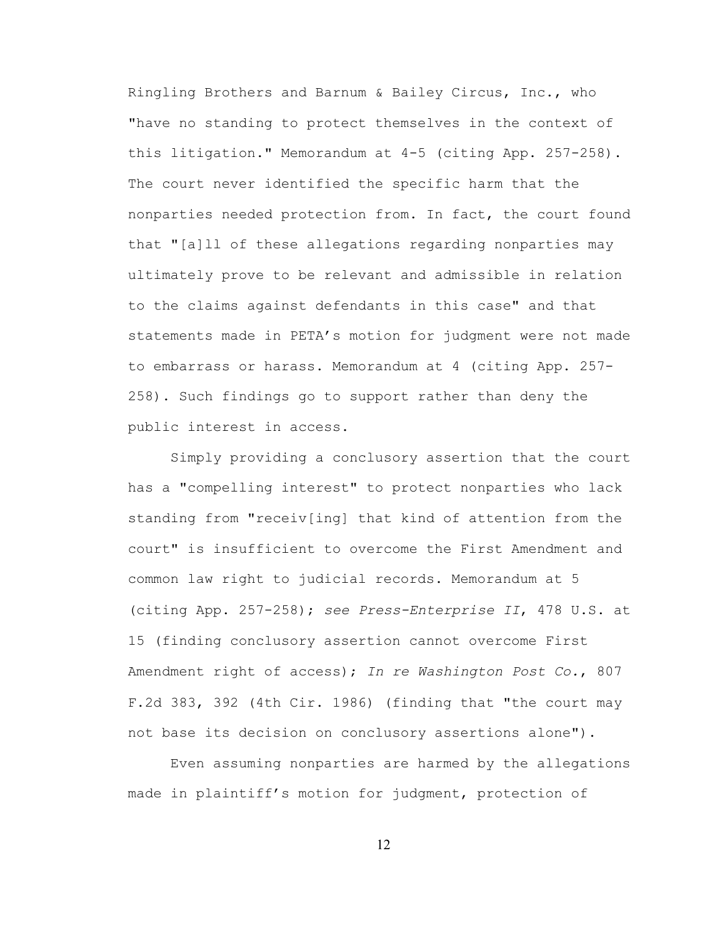Ringling Brothers and Barnum & Bailey Circus, Inc., who "have no standing to protect themselves in the context of this litigation." Memorandum at 4-5 (citing App. 257-258). The court never identified the specific harm that the nonparties needed protection from. In fact, the court found that "[a]ll of these allegations regarding nonparties may ultimately prove to be relevant and admissible in relation to the claims against defendants in this case" and that statements made in PETA's motion for judgment were not made to embarrass or harass. Memorandum at 4 (citing App. 257- 258). Such findings go to support rather than deny the public interest in access.

Simply providing a conclusory assertion that the court has a "compelling interest" to protect nonparties who lack standing from "receiv[ing] that kind of attention from the court" is insufficient to overcome the First Amendment and common law right to judicial records. Memorandum at 5 (citing App. 257-258); *see Press-Enterprise II*, 478 U.S. at 15 (finding conclusory assertion cannot overcome First Amendment right of access); *In re Washington Post Co.*, 807 F.2d 383, 392 (4th Cir. 1986) (finding that "the court may not base its decision on conclusory assertions alone").

Even assuming nonparties are harmed by the allegations made in plaintiff's motion for judgment, protection of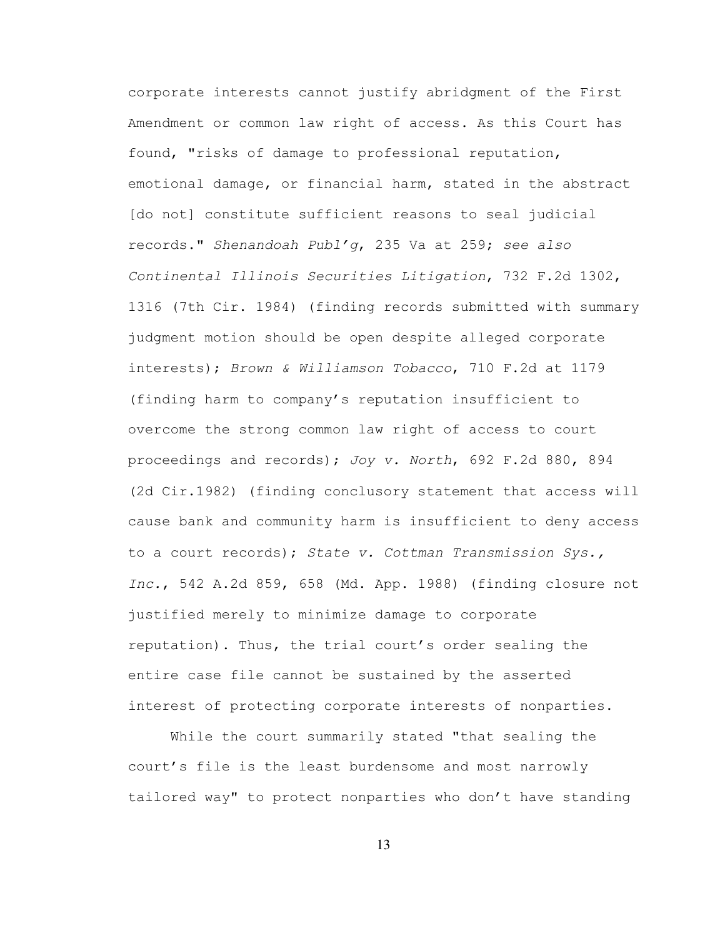corporate interests cannot justify abridgment of the First Amendment or common law right of access. As this Court has found, "risks of damage to professional reputation, emotional damage, or financial harm, stated in the abstract [do not] constitute sufficient reasons to seal judicial records." *Shenandoah Publ'g*, 235 Va at 259; *see also Continental Illinois Securities Litigation*, 732 F.2d 1302, 1316 (7th Cir. 1984) (finding records submitted with summary judgment motion should be open despite alleged corporate interests); *Brown & Williamson Tobacco*, 710 F.2d at 1179 (finding harm to company's reputation insufficient to overcome the strong common law right of access to court proceedings and records); *Joy v. North*, 692 F.2d 880, 894 (2d Cir.1982) (finding conclusory statement that access will cause bank and community harm is insufficient to deny access to a court records); *State v. Cottman Transmission Sys., Inc.*, 542 A.2d 859, 658 (Md. App. 1988) (finding closure not justified merely to minimize damage to corporate reputation). Thus, the trial court's order sealing the entire case file cannot be sustained by the asserted interest of protecting corporate interests of nonparties.

While the court summarily stated "that sealing the court's file is the least burdensome and most narrowly tailored way" to protect nonparties who don't have standing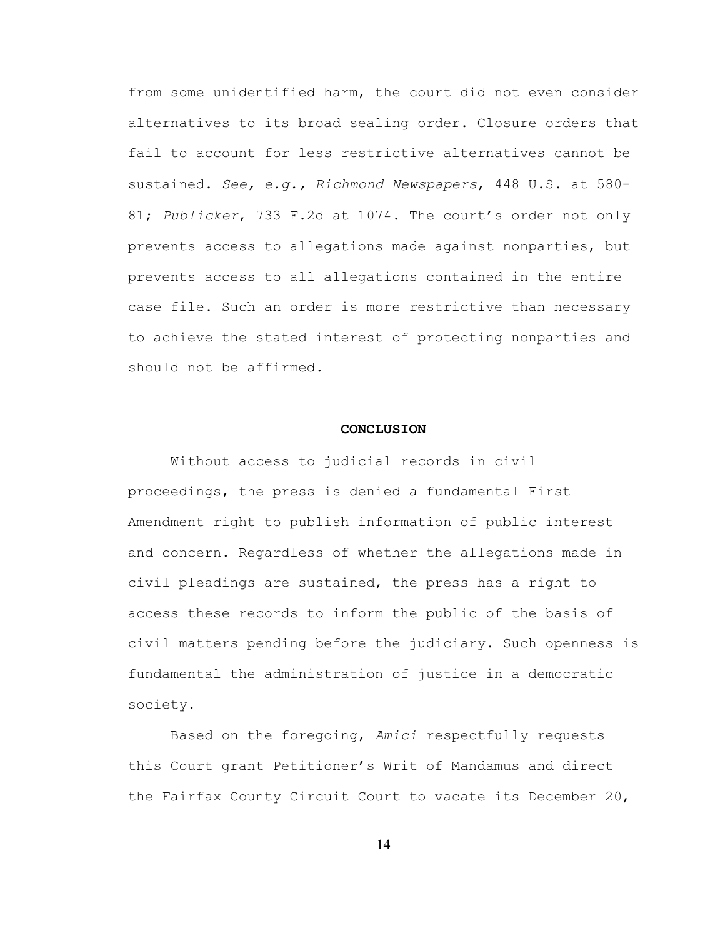from some unidentified harm, the court did not even consider alternatives to its broad sealing order. Closure orders that fail to account for less restrictive alternatives cannot be sustained. *See, e.g., Richmond Newspapers*, 448 U.S. at 580- 81; *Publicker*, 733 F.2d at 1074. The court's order not only prevents access to allegations made against nonparties, but prevents access to all allegations contained in the entire case file. Such an order is more restrictive than necessary to achieve the stated interest of protecting nonparties and should not be affirmed.

#### **CONCLUSION**

Without access to judicial records in civil proceedings, the press is denied a fundamental First Amendment right to publish information of public interest and concern. Regardless of whether the allegations made in civil pleadings are sustained, the press has a right to access these records to inform the public of the basis of civil matters pending before the judiciary. Such openness is fundamental the administration of justice in a democratic society.

Based on the foregoing, *Amici* respectfully requests this Court grant Petitioner's Writ of Mandamus and direct the Fairfax County Circuit Court to vacate its December 20,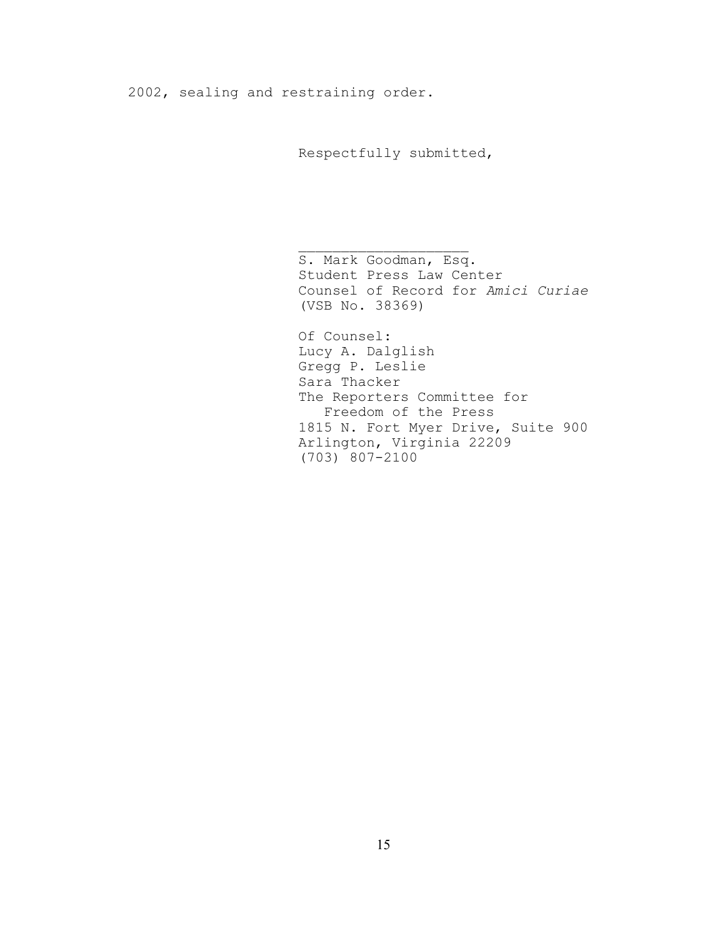2002, sealing and restraining order.

Respectfully submitted,

 $\mathcal{L}_\text{max}$ 

S. Mark Goodman, Esq. Student Press Law Center Counsel of Record for *Amici Curiae* (VSB No. 38369)

Of Counsel: Lucy A. Dalglish Gregg P. Leslie Sara Thacker The Reporters Committee for Freedom of the Press 1815 N. Fort Myer Drive, Suite 900 Arlington, Virginia 22209 (703) 807-2100